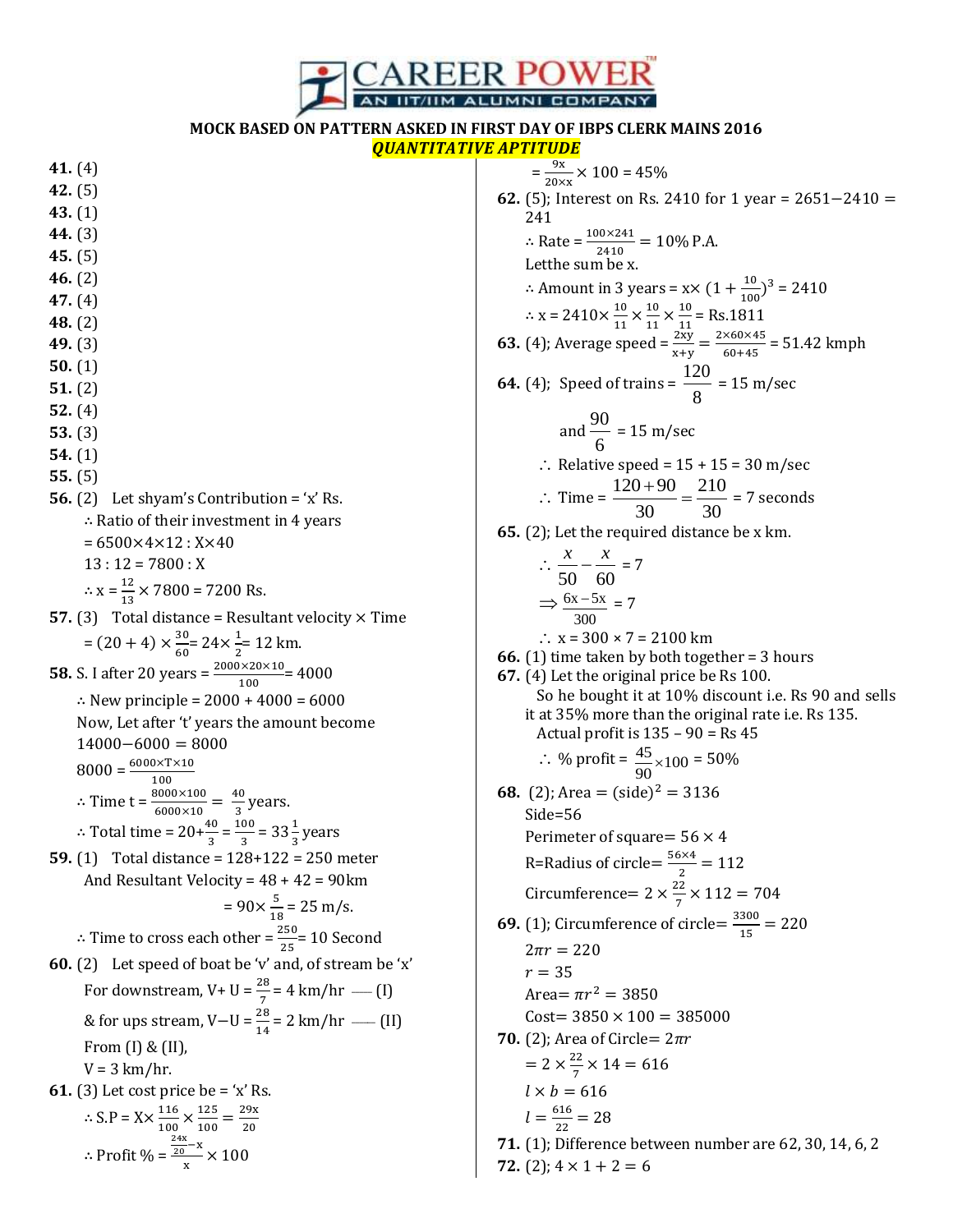

## **MOCK BASED ON PATTERN ASKED IN FIRST DAY OF IBPS CLERK MAINS 2016** *QUANTITATIVE APTITUDE*

**41.** (4)

- **42.** (5)
- **43.** (1)
- **44.** (3)
- **45.** (5)
- **46.** (2)
- **47.** (4)
- **48.** (2)
- **49.** (3)
- **50.** (1)
- **51.** (2)
- **52.** (4)
- **53.** (3)
- **54.** (1)
- **55.** (5)
- **56.** (2) Let shyam's Contribution = 'x' Rs.  $\therefore$  Ratio of their investment in 4 years
	- $= 6500 \times 4 \times 12 : X \times 40$ 
		- $13:12 = 7800: X$
	- $\therefore$  x =  $\frac{1}{1}$  $\frac{12}{13}$  × 7800 = 7200 Rs.
- **57.** (3) Total distance = Resultant velocity  $\times$  Time  $=(20+4)\times\frac{3}{5}$  $\frac{30}{60}$  = 24  $\times \frac{1}{2}$  $\frac{1}{2}$ = 12 km.
- **58.** S. I after 20 years =  $\frac{2000 \times 20 \times 10}{100}$  = 4000  $\therefore$  New principle = 2000 + 4000 = 6000

Now, Let after 't' years the amount become  $14000 - 6000 = 8000$  $8000 = \frac{6000 \times T \times 10}{T}$ 

- $\mathbf{1}$ : Time t =  $\frac{8000\times100}{6000\times10}$  =  $\frac{4}{3}$  $\frac{1}{3}$  years.
- ∴ Total time =  $20 + \frac{40}{3} = \frac{1}{2}$  $\frac{60}{3}$  = 33 $\frac{1}{3}$  years **59.** (1) Total distance = 128+122 = 250 meter
- And Resultant Velocity = 48 + 42 = 90km

$$
= 90 \times \frac{5}{18} = 25 \text{ m/s}.
$$
  
 
$$
\therefore \text{ Time to cross each other} = \frac{250}{25} = 10 \text{ Second}
$$

**60.** (2) Let speed of boat be 'v' and, of stream be 'x' For downstream,  $V+ U = \frac{26}{7} = 4 \text{ km/hr}$  — [I] & for ups stream,  $V-U = \frac{26}{14} = 2 \text{ km/hr }$  —— [II] From (I) & (II),  $V = 3$  km/hr. **61.** (3) Let cost price be = 'x' Rs.

$$
\therefore S.P = X \times \frac{116}{100} \times \frac{125}{100} = \frac{29x}{20}
$$

$$
\therefore \text{Profit } \% = \frac{\frac{24x}{20} - x}{x} \times 100
$$

 $=\frac{9}{28}$  $\frac{9x}{20 \times x}$  × 100 = 45% **62.** (5); Interest on Rs. 2410 for 1 year =  $2651-2410 =$  $\overline{c}$  $\therefore$  Rate =  $\frac{100 \times 241}{2410}$  = 10% P.A. Letthe sum be x.  $\therefore$  Amount in 3 years = x  $\times$  (1 +  $\frac{1}{\lambda}$ )  $\frac{10}{100}$ <sup>3</sup> = 2410  $\therefore$  x = 2410 $\times\frac{1}{4}$  $\frac{10}{11} \times \frac{1}{1}$  $\frac{10}{11} \times \frac{1}{1}$  $\frac{10}{11}$  = Rs.1811 **63.** (4); Average speed =  $\frac{2xy}{x+y} = \frac{2}{x}$  $\frac{$80 \times 45}{$60 + 45} = 51.42$  kmph **64.** (4); Speed of trains =  $\frac{120}{100}$ 8 = 15 m/sec and  $\frac{90}{9}$ 6  $= 15 \text{ m/sec}$  $\therefore$  Relative speed = 15 + 15 = 30 m/sec  $\therefore$  Time =  $\frac{120+90}{200} = \frac{210}{200}$ 30 30  $\frac{+90}{2} = \frac{210}{20} = 7$  seconds **65.** (2); Let the required distance be x km.  $\ddot{\cdot}$ 50 60  $\frac{x}{x^{2}-x^{2}} = 7$  $\Rightarrow \frac{6x-5x}{2}$ 300  $\frac{-5x}{2}$  = 7 ∴  $x = 300 \times 7 = 2100$  km **66.** (1) time taken by both together = 3 hours **67.** (4) Let the original price be Rs 100. So he bought it at 10% discount i.e. Rs 90 and sells it at 35% more than the original rate i.e. Rs 135. Actual profit is  $135 - 90 =$  Rs 45 ∴ % profit =  $\frac{45}{90}$  × 100 = 50% **68.** (2); Area =  $(\text{side})^2$ Side=56 Perimeter of square =  $56 \times 4$ R=Radius of circle= $\frac{5}{5}$  $\frac{1}{2}$  = Circumference=  $2 \times \frac{2}{5}$  $\frac{22}{7}$   $\times$ **69.** (1); Circumference of circle= $\frac{3}{2}$  $\frac{300}{15}$  =  $2\pi r = 220$  $r = 35$ Area=  $\pi r^2$  $Cost = 3850 \times 100 = 385000$ **70.** (2); Area of Circle =  $2\pi r$  $= 2 \times \frac{2}{7}$  $\frac{22}{7}$   $\times$  $l \times b = 616$  $l=\frac{6}{5}$  $\frac{316}{22}$  = **71.** (1); Difference between number are 62, 30, 14, 6, 2 **72.** (2):  $4 \times 1 + 2 = 6$